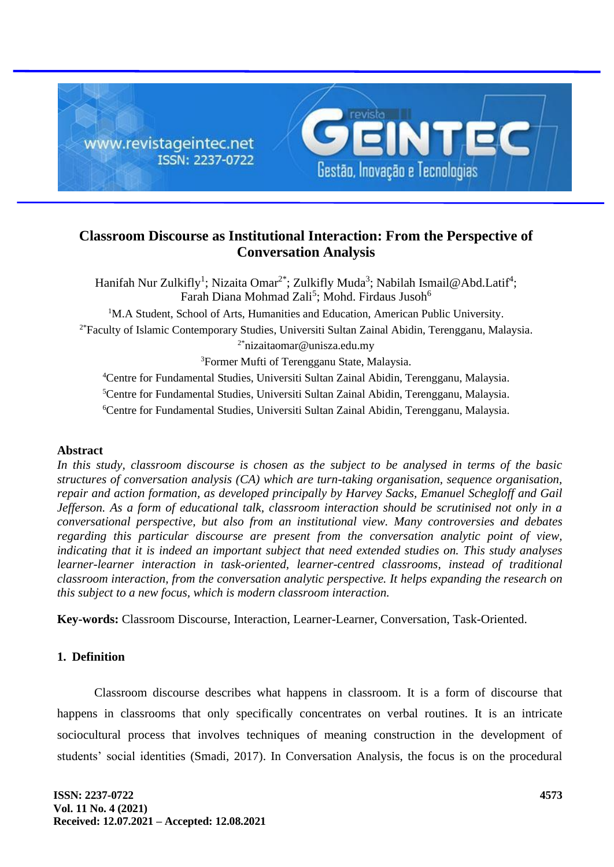

# **Classroom Discourse as Institutional Interaction: From the Perspective of Conversation Analysis**

Hanifah Nur Zulkifly<sup>1</sup>; Nizaita Omar<sup>2\*</sup>; Zulkifly Muda<sup>3</sup>; Nabilah Ismail@Abd.Latif<sup>4</sup>; Farah Diana Mohmad Zali<sup>5</sup>; Mohd. Firdaus Jusoh<sup>6</sup> <sup>1</sup>M.A Student, School of Arts, Humanities and Education, American Public University. <sup>2\*</sup>Faculty of Islamic Contemporary Studies, Universiti Sultan Zainal Abidin, Terengganu, Malaysia. 2\*nizaitaomar@unisza.edu.my <sup>3</sup>Former Mufti of Terengganu State, Malaysia. <sup>4</sup>Centre for Fundamental Studies, Universiti Sultan Zainal Abidin, Terengganu, Malaysia.

<sup>5</sup>Centre for Fundamental Studies, Universiti Sultan Zainal Abidin, Terengganu, Malaysia. <sup>6</sup>Centre for Fundamental Studies, Universiti Sultan Zainal Abidin, Terengganu, Malaysia.

# **Abstract**

*In this study, classroom discourse is chosen as the subject to be analysed in terms of the basic structures of conversation analysis (CA) which are turn-taking organisation, sequence organisation, repair and action formation, as developed principally by Harvey Sacks, Emanuel Schegloff and Gail Jefferson. As a form of educational talk, classroom interaction should be scrutinised not only in a conversational perspective, but also from an institutional view. Many controversies and debates regarding this particular discourse are present from the conversation analytic point of view, indicating that it is indeed an important subject that need extended studies on. This study analyses learner-learner interaction in task-oriented, learner-centred classrooms, instead of traditional classroom interaction, from the conversation analytic perspective. It helps expanding the research on this subject to a new focus, which is modern classroom interaction.*

**Key-words:** Classroom Discourse, Interaction, Learner-Learner, Conversation, Task-Oriented.

# **1. Definition**

Classroom discourse describes what happens in classroom. It is a form of discourse that happens in classrooms that only specifically concentrates on verbal routines. It is an intricate sociocultural process that involves techniques of meaning construction in the development of students' social identities (Smadi, 2017). In Conversation Analysis, the focus is on the procedural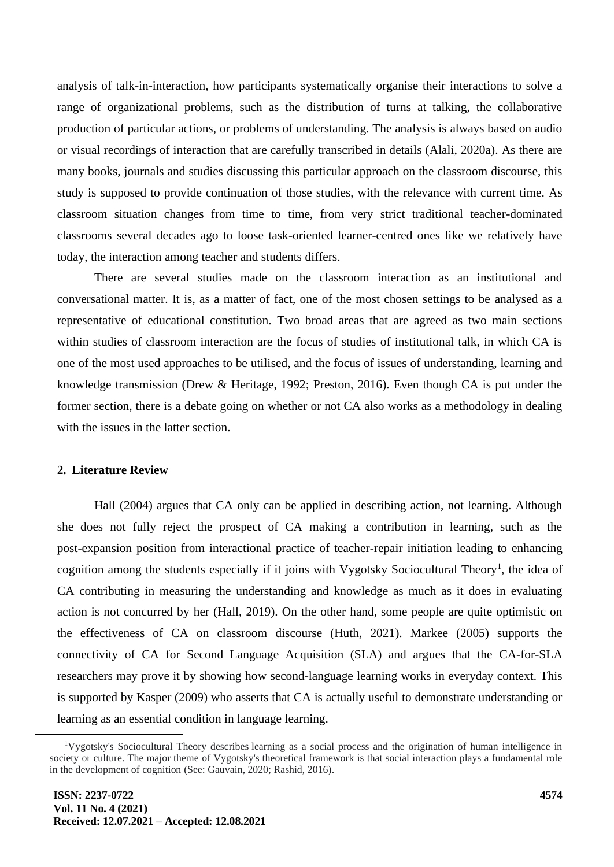analysis of talk-in-interaction, how participants systematically organise their interactions to solve a range of organizational problems, such as the distribution of turns at talking, the collaborative production of particular actions, or problems of understanding. The analysis is always based on audio or visual recordings of interaction that are carefully transcribed in details (Alali, 2020a). As there are many books, journals and studies discussing this particular approach on the classroom discourse, this study is supposed to provide continuation of those studies, with the relevance with current time. As classroom situation changes from time to time, from very strict traditional teacher-dominated classrooms several decades ago to loose task-oriented learner-centred ones like we relatively have today, the interaction among teacher and students differs.

There are several studies made on the classroom interaction as an institutional and conversational matter. It is, as a matter of fact, one of the most chosen settings to be analysed as a representative of educational constitution. Two broad areas that are agreed as two main sections within studies of classroom interaction are the focus of studies of institutional talk, in which CA is one of the most used approaches to be utilised, and the focus of issues of understanding, learning and knowledge transmission (Drew & Heritage, 1992; Preston, 2016). Even though CA is put under the former section, there is a debate going on whether or not CA also works as a methodology in dealing with the issues in the latter section.

# **2. Literature Review**

Hall (2004) argues that CA only can be applied in describing action, not learning. Although she does not fully reject the prospect of CA making a contribution in learning, such as the post-expansion position from interactional practice of teacher-repair initiation leading to enhancing cognition among the students especially if it joins with Vygotsky Sociocultural Theory<sup>1</sup>, the idea of CA contributing in measuring the understanding and knowledge as much as it does in evaluating action is not concurred by her (Hall, 2019). On the other hand, some people are quite optimistic on the effectiveness of CA on classroom discourse (Huth, 2021). Markee (2005) supports the connectivity of CA for Second Language Acquisition (SLA) and argues that the CA-for-SLA researchers may prove it by showing how second-language learning works in everyday context. This is supported by Kasper (2009) who asserts that CA is actually useful to demonstrate understanding or learning as an essential condition in language learning.

<sup>&</sup>lt;sup>1</sup>Vygotsky's Sociocultural Theory describes learning as a social process and the origination of human intelligence in society or culture. The major theme of Vygotsky's theoretical framework is that social interaction plays a fundamental role in the development of cognition (See: Gauvain, 2020; Rashid, 2016).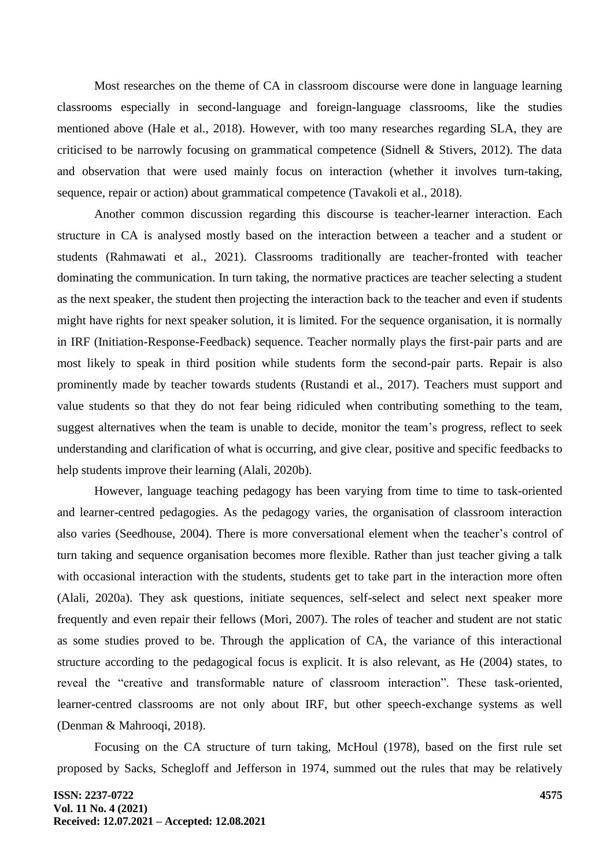Most researches on the theme of CA in classroom discourse were done in language learning classrooms especially in second-language and foreign-language classrooms, like the studies mentioned above (Hale et al., 2018). However, with too many researches regarding SLA, they are criticised to be narrowly focusing on grammatical competence (Sidnell  $\&$  Stivers, 2012). The data and observation that were used mainly focus on interaction (whether it involves turn-taking, sequence, repair or action) about grammatical competence (Tavakoli et al., 2018).

Another common discussion regarding this discourse is teacher-learner interaction. Each structure in CA is analysed mostly based on the interaction between a teacher and a student or students (Rahmawati et al., 2021). Classrooms traditionally are teacher-fronted with teacher dominating the communication. In turn taking, the normative practices are teacher selecting a student as the next speaker, the student then projecting the interaction back to the teacher and even if students might have rights for next speaker solution, it is limited. For the sequence organisation, it is normally in IRF (Initiation-Response-Feedback) sequence. Teacher normally plays the first-pair parts and are most likely to speak in third position while students form the second-pair parts. Repair is also prominently made by teacher towards students (Rustandi et al., 2017). Teachers must support and value students so that they do not fear being ridiculed when contributing something to the team, suggest alternatives when the team is unable to decide, monitor the team's progress, reflect to seek understanding and clarification of what is occurring, and give clear, positive and specific feedbacks to help students improve their learning (Alali, 2020b).

However, language teaching pedagogy has been varying from time to time to task-oriented and learner-centred pedagogies. As the pedagogy varies, the organisation of classroom interaction also varies (Seedhouse, 2004). There is more conversational element when the teacher's control of turn taking and sequence organisation becomes more flexible. Rather than just teacher giving a talk with occasional interaction with the students, students get to take part in the interaction more often (Alali, 2020a). They ask questions, initiate sequences, self-select and select next speaker more frequently and even repair their fellows (Mori, 2007). The roles of teacher and student are not static as some studies proved to be. Through the application of CA, the variance of this interactional structure according to the pedagogical focus is explicit. It is also relevant, as He (2004) states, to reveal the "creative and transformable nature of classroom interaction". These task-oriented, learner-centred classrooms are not only about IRF, but other speech-exchange systems as well (Denman & Mahrooqi, 2018).

Focusing on the CA structure of turn taking, McHoul (1978), based on the first rule set proposed by Sacks, Schegloff and Jefferson in 1974, summed out the rules that may be relatively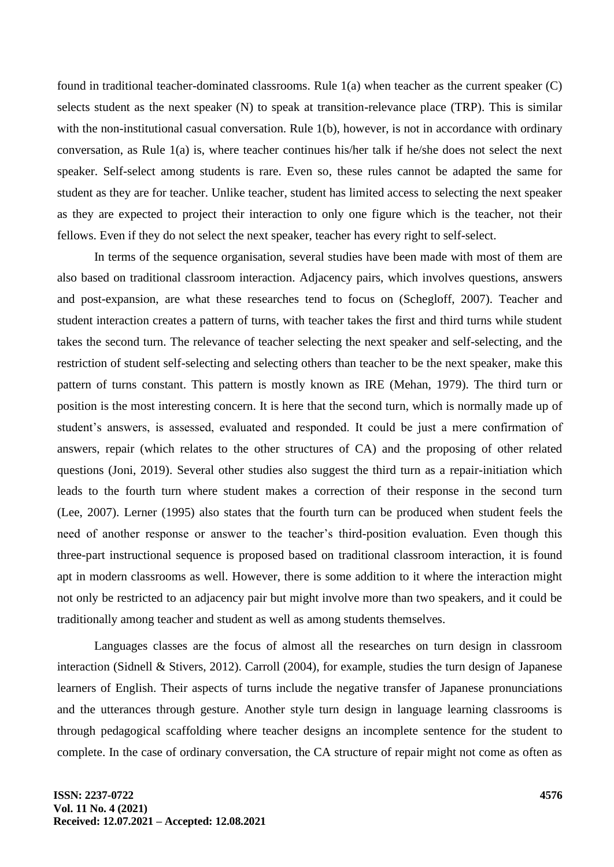found in traditional teacher-dominated classrooms. Rule 1(a) when teacher as the current speaker (C) selects student as the next speaker (N) to speak at transition-relevance place (TRP). This is similar with the non-institutional casual conversation. Rule 1(b), however, is not in accordance with ordinary conversation, as Rule 1(a) is, where teacher continues his/her talk if he/she does not select the next speaker. Self-select among students is rare. Even so, these rules cannot be adapted the same for student as they are for teacher. Unlike teacher, student has limited access to selecting the next speaker as they are expected to project their interaction to only one figure which is the teacher, not their fellows. Even if they do not select the next speaker, teacher has every right to self-select.

In terms of the sequence organisation, several studies have been made with most of them are also based on traditional classroom interaction. Adjacency pairs, which involves questions, answers and post-expansion, are what these researches tend to focus on (Schegloff, 2007). Teacher and student interaction creates a pattern of turns, with teacher takes the first and third turns while student takes the second turn. The relevance of teacher selecting the next speaker and self-selecting, and the restriction of student self-selecting and selecting others than teacher to be the next speaker, make this pattern of turns constant. This pattern is mostly known as IRE (Mehan, 1979). The third turn or position is the most interesting concern. It is here that the second turn, which is normally made up of student's answers, is assessed, evaluated and responded. It could be just a mere confirmation of answers, repair (which relates to the other structures of CA) and the proposing of other related questions (Joni, 2019). Several other studies also suggest the third turn as a repair-initiation which leads to the fourth turn where student makes a correction of their response in the second turn (Lee, 2007). Lerner (1995) also states that the fourth turn can be produced when student feels the need of another response or answer to the teacher's third-position evaluation. Even though this three-part instructional sequence is proposed based on traditional classroom interaction, it is found apt in modern classrooms as well. However, there is some addition to it where the interaction might not only be restricted to an adjacency pair but might involve more than two speakers, and it could be traditionally among teacher and student as well as among students themselves.

Languages classes are the focus of almost all the researches on turn design in classroom interaction (Sidnell & Stivers, 2012). Carroll (2004), for example, studies the turn design of Japanese learners of English. Their aspects of turns include the negative transfer of Japanese pronunciations and the utterances through gesture. Another style turn design in language learning classrooms is through pedagogical scaffolding where teacher designs an incomplete sentence for the student to complete. In the case of ordinary conversation, the CA structure of repair might not come as often as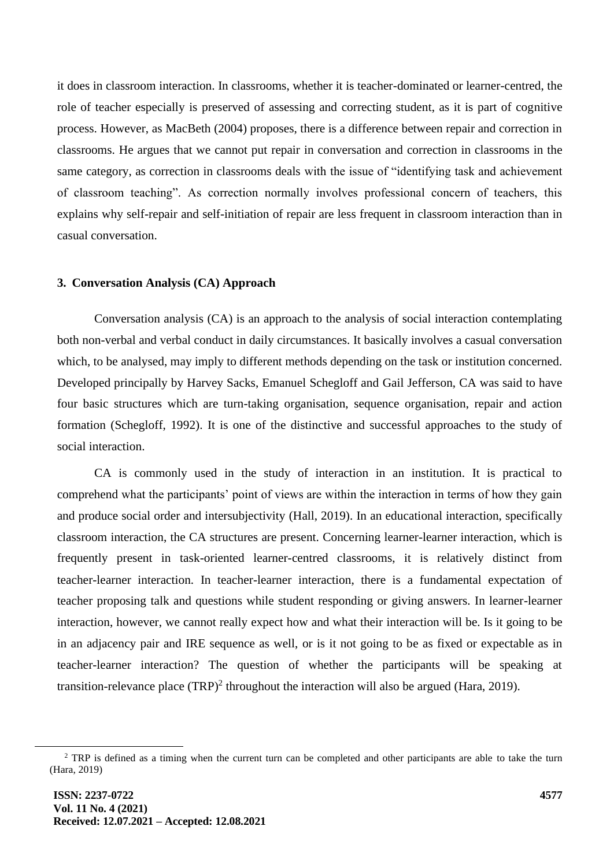it does in classroom interaction. In classrooms, whether it is teacher-dominated or learner-centred, the role of teacher especially is preserved of assessing and correcting student, as it is part of cognitive process. However, as MacBeth (2004) proposes, there is a difference between repair and correction in classrooms. He argues that we cannot put repair in conversation and correction in classrooms in the same category, as correction in classrooms deals with the issue of "identifying task and achievement of classroom teaching". As correction normally involves professional concern of teachers, this explains why self-repair and self-initiation of repair are less frequent in classroom interaction than in casual conversation.

#### **3. Conversation Analysis (CA) Approach**

Conversation analysis (CA) is an approach to the analysis of social interaction contemplating both non-verbal and verbal conduct in daily circumstances. It basically involves a casual conversation which, to be analysed, may imply to different methods depending on the task or institution concerned. Developed principally by Harvey Sacks, Emanuel Schegloff and Gail Jefferson, CA was said to have four basic structures which are turn-taking organisation, sequence organisation, repair and action formation (Schegloff, 1992). It is one of the distinctive and successful approaches to the study of social interaction.

CA is commonly used in the study of interaction in an institution. It is practical to comprehend what the participants' point of views are within the interaction in terms of how they gain and produce social order and intersubjectivity (Hall, 2019). In an educational interaction, specifically classroom interaction, the CA structures are present. Concerning learner-learner interaction, which is frequently present in task-oriented learner-centred classrooms, it is relatively distinct from teacher-learner interaction. In teacher-learner interaction, there is a fundamental expectation of teacher proposing talk and questions while student responding or giving answers. In learner-learner interaction, however, we cannot really expect how and what their interaction will be. Is it going to be in an adjacency pair and IRE sequence as well, or is it not going to be as fixed or expectable as in teacher-learner interaction? The question of whether the participants will be speaking at transition-relevance place  $(TRP)^2$  throughout the interaction will also be argued (Hara, 2019).

<sup>&</sup>lt;sup>2</sup> TRP is defined as a timing when the current turn can be completed and other participants are able to take the turn (Hara, 2019)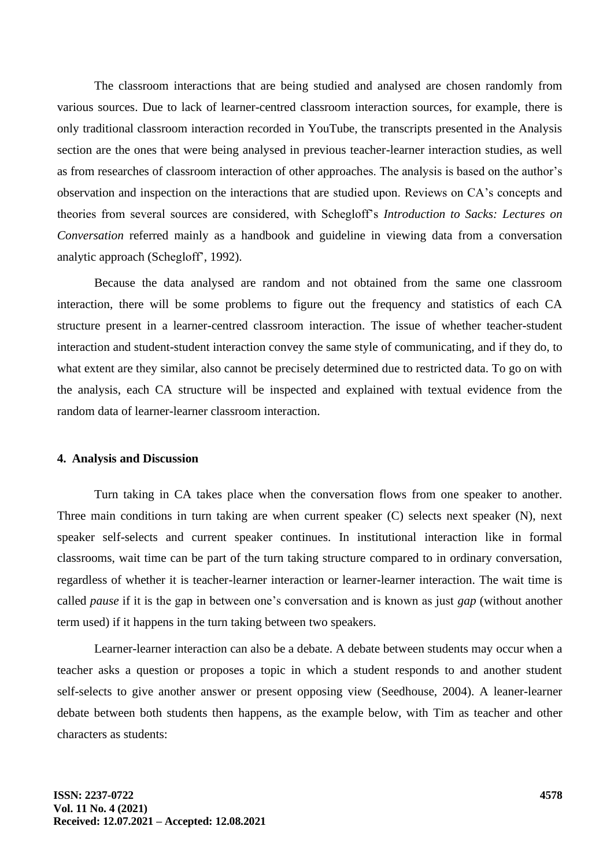The classroom interactions that are being studied and analysed are chosen randomly from various sources. Due to lack of learner-centred classroom interaction sources, for example, there is only traditional classroom interaction recorded in YouTube, the transcripts presented in the Analysis section are the ones that were being analysed in previous teacher-learner interaction studies, as well as from researches of classroom interaction of other approaches. The analysis is based on the author's observation and inspection on the interactions that are studied upon. Reviews on CA's concepts and theories from several sources are considered, with Schegloff's *Introduction to Sacks: Lectures on Conversation* referred mainly as a handbook and guideline in viewing data from a conversation analytic approach (Schegloff', 1992).

Because the data analysed are random and not obtained from the same one classroom interaction, there will be some problems to figure out the frequency and statistics of each CA structure present in a learner-centred classroom interaction. The issue of whether teacher-student interaction and student-student interaction convey the same style of communicating, and if they do, to what extent are they similar, also cannot be precisely determined due to restricted data. To go on with the analysis, each CA structure will be inspected and explained with textual evidence from the random data of learner-learner classroom interaction.

#### **4. Analysis and Discussion**

Turn taking in CA takes place when the conversation flows from one speaker to another. Three main conditions in turn taking are when current speaker (C) selects next speaker (N), next speaker self-selects and current speaker continues. In institutional interaction like in formal classrooms, wait time can be part of the turn taking structure compared to in ordinary conversation, regardless of whether it is teacher-learner interaction or learner-learner interaction. The wait time is called *pause* if it is the gap in between one's conversation and is known as just *gap* (without another term used) if it happens in the turn taking between two speakers.

Learner-learner interaction can also be a debate. A debate between students may occur when a teacher asks a question or proposes a topic in which a student responds to and another student self-selects to give another answer or present opposing view (Seedhouse, 2004). A leaner-learner debate between both students then happens, as the example below, with Tim as teacher and other characters as students: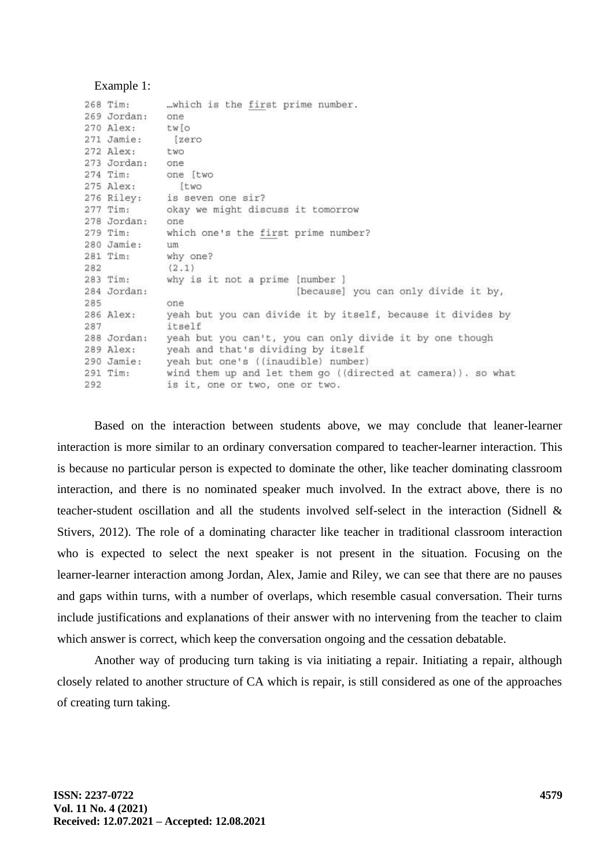#### Example 1:

|     | 268 Tim:    | which is the first prime number.                             |
|-----|-------------|--------------------------------------------------------------|
|     | 269 Jordan: | one                                                          |
|     | 270 Alex:   | tw[o                                                         |
|     | 271 Jamie:  | [zero                                                        |
|     | 272 Alex:   | two                                                          |
|     | 273 Jordan: | one                                                          |
|     | 274 Tim:    | one [two                                                     |
|     | 275 Alex:   | [two                                                         |
|     |             | 276 Riley: is seven one sir?                                 |
|     | 277 Tim:    | okay we might discuss it tomorrow                            |
|     | 278 Jordan: | one                                                          |
|     | 279 Tim:    | which one's the first prime number?                          |
|     | 280 Jamie:  | um.                                                          |
|     | 281 Tim:    | why one?                                                     |
| 282 |             | (2.1)                                                        |
|     | 283 Tim:    | why is it not a prime [number ]                              |
|     | 284 Jordan: | [because] you can only divide it by,                         |
| 285 |             | one                                                          |
|     | 286 Alex:   | yeah but you can divide it by itself, because it divides by  |
| 287 |             | itself                                                       |
|     | 288 Jordan: | yeah but you can't, you can only divide it by one though     |
|     | 289 Alex:   | yeah and that's dividing by itself                           |
|     | 290 Jamie:  | yeah but one's ((inaudible) number)                          |
|     | 291 Tim:    | wind them up and let them go ((directed at camera)). so what |
| 292 |             | is it, one or two, one or two.                               |

Based on the interaction between students above, we may conclude that leaner-learner interaction is more similar to an ordinary conversation compared to teacher-learner interaction. This is because no particular person is expected to dominate the other, like teacher dominating classroom interaction, and there is no nominated speaker much involved. In the extract above, there is no teacher-student oscillation and all the students involved self-select in the interaction (Sidnell & Stivers, 2012). The role of a dominating character like teacher in traditional classroom interaction who is expected to select the next speaker is not present in the situation. Focusing on the learner-learner interaction among Jordan, Alex, Jamie and Riley, we can see that there are no pauses and gaps within turns, with a number of overlaps, which resemble casual conversation. Their turns include justifications and explanations of their answer with no intervening from the teacher to claim which answer is correct, which keep the conversation ongoing and the cessation debatable.

Another way of producing turn taking is via initiating a repair. Initiating a repair, although closely related to another structure of CA which is repair, is still considered as one of the approaches of creating turn taking.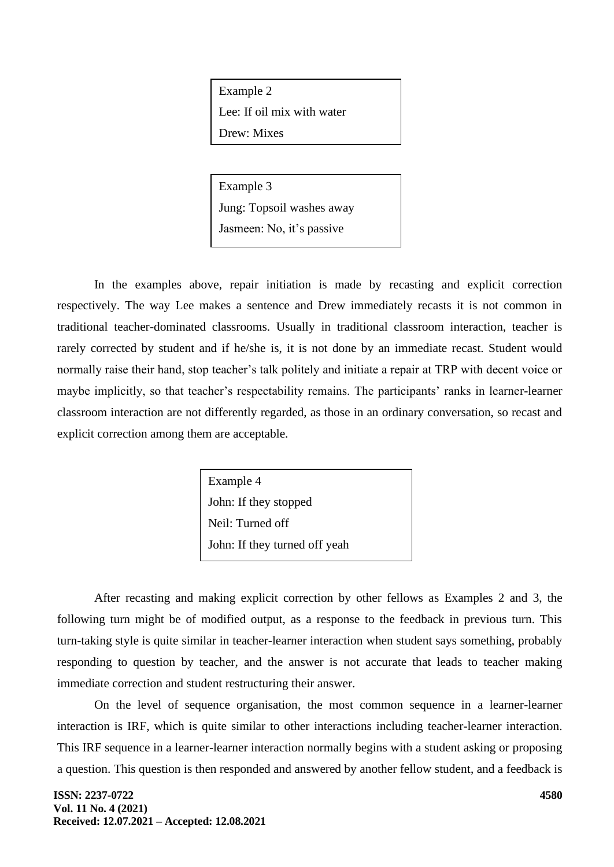Example 2 Lee: If oil mix with water Drew: Mixes

Example 3 Jung: Topsoil washes away Jasmeen: No, it's passive

In the examples above, repair initiation is made by recasting and explicit correction respectively. The way Lee makes a sentence and Drew immediately recasts it is not common in traditional teacher-dominated classrooms. Usually in traditional classroom interaction, teacher is rarely corrected by student and if he/she is, it is not done by an immediate recast. Student would normally raise their hand, stop teacher's talk politely and initiate a repair at TRP with decent voice or maybe implicitly, so that teacher's respectability remains. The participants' ranks in learner-learner classroom interaction are not differently regarded, as those in an ordinary conversation, so recast and explicit correction among them are acceptable.

> Example 4 John: If they stopped Neil: Turned off John: If they turned off yeah

After recasting and making explicit correction by other fellows as Examples 2 and 3, the following turn might be of modified output, as a response to the feedback in previous turn. This turn-taking style is quite similar in teacher-learner interaction when student says something, probably responding to question by teacher, and the answer is not accurate that leads to teacher making immediate correction and student restructuring their answer.

On the level of sequence organisation, the most common sequence in a learner-learner interaction is IRF, which is quite similar to other interactions including teacher-learner interaction. This IRF sequence in a learner-learner interaction normally begins with a student asking or proposing a question. This question is then responded and answered by another fellow student, and a feedback is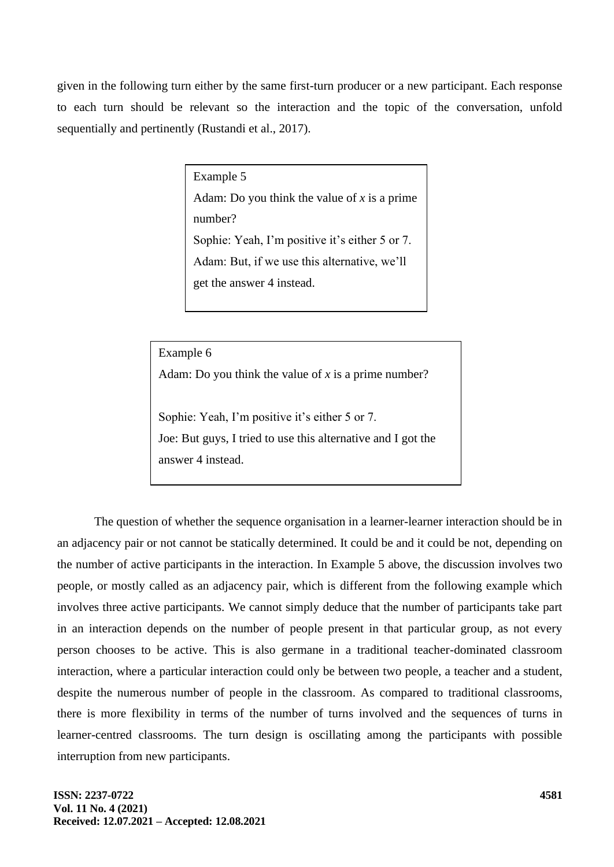given in the following turn either by the same first-turn producer or a new participant. Each response to each turn should be relevant so the interaction and the topic of the conversation, unfold sequentially and pertinently (Rustandi et al., 2017).

Example 5

Adam: Do you think the value of *x* is a prime number? Sophie: Yeah, I'm positive it's either 5 or 7. Adam: But, if we use this alternative, we'll get the answer 4 instead.

Example 6

Adam: Do you think the value of *x* is a prime number?

Sophie: Yeah, I'm positive it's either 5 or 7. Joe: But guys, I tried to use this alternative and I got the answer 4 instead.

The question of whether the sequence organisation in a learner-learner interaction should be in an adjacency pair or not cannot be statically determined. It could be and it could be not, depending on the number of active participants in the interaction. In Example 5 above, the discussion involves two people, or mostly called as an adjacency pair, which is different from the following example which involves three active participants. We cannot simply deduce that the number of participants take part in an interaction depends on the number of people present in that particular group, as not every person chooses to be active. This is also germane in a traditional teacher-dominated classroom interaction, where a particular interaction could only be between two people, a teacher and a student, despite the numerous number of people in the classroom. As compared to traditional classrooms, there is more flexibility in terms of the number of turns involved and the sequences of turns in learner-centred classrooms. The turn design is oscillating among the participants with possible interruption from new participants.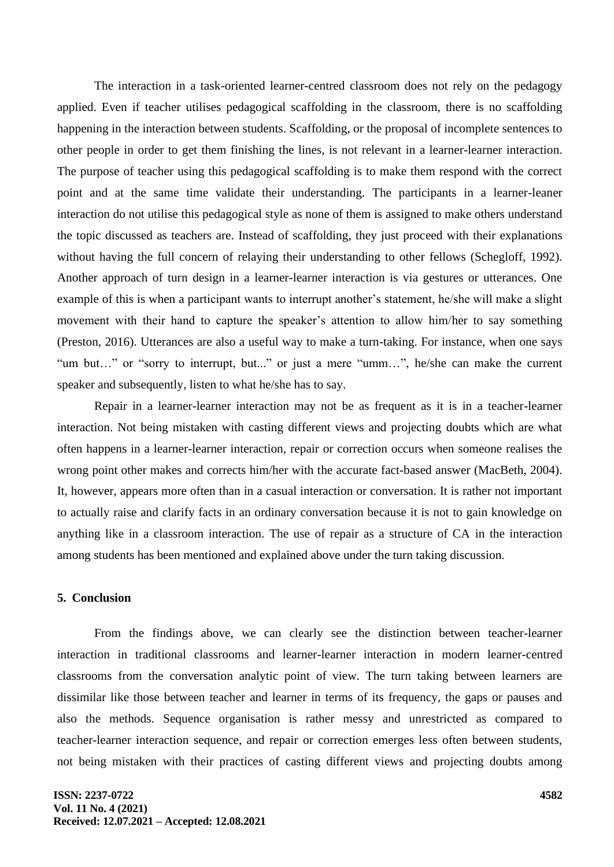The interaction in a task-oriented learner-centred classroom does not rely on the pedagogy applied. Even if teacher utilises pedagogical scaffolding in the classroom, there is no scaffolding happening in the interaction between students. Scaffolding, or the proposal of incomplete sentences to other people in order to get them finishing the lines, is not relevant in a learner-learner interaction. The purpose of teacher using this pedagogical scaffolding is to make them respond with the correct point and at the same time validate their understanding. The participants in a learner-leaner interaction do not utilise this pedagogical style as none of them is assigned to make others understand the topic discussed as teachers are. Instead of scaffolding, they just proceed with their explanations without having the full concern of relaying their understanding to other fellows (Schegloff, 1992). Another approach of turn design in a learner-learner interaction is via gestures or utterances. One example of this is when a participant wants to interrupt another's statement, he/she will make a slight movement with their hand to capture the speaker's attention to allow him/her to say something (Preston, 2016). Utterances are also a useful way to make a turn-taking. For instance, when one says "um but…" or "sorry to interrupt, but..." or just a mere "umm…", he/she can make the current speaker and subsequently, listen to what he/she has to say.

Repair in a learner-learner interaction may not be as frequent as it is in a teacher-learner interaction. Not being mistaken with casting different views and projecting doubts which are what often happens in a learner-learner interaction, repair or correction occurs when someone realises the wrong point other makes and corrects him/her with the accurate fact-based answer (MacBeth, 2004). It, however, appears more often than in a casual interaction or conversation. It is rather not important to actually raise and clarify facts in an ordinary conversation because it is not to gain knowledge on anything like in a classroom interaction. The use of repair as a structure of CA in the interaction among students has been mentioned and explained above under the turn taking discussion.

#### **5. Conclusion**

From the findings above, we can clearly see the distinction between teacher-learner interaction in traditional classrooms and learner-learner interaction in modern learner-centred classrooms from the conversation analytic point of view. The turn taking between learners are dissimilar like those between teacher and learner in terms of its frequency, the gaps or pauses and also the methods. Sequence organisation is rather messy and unrestricted as compared to teacher-learner interaction sequence, and repair or correction emerges less often between students, not being mistaken with their practices of casting different views and projecting doubts among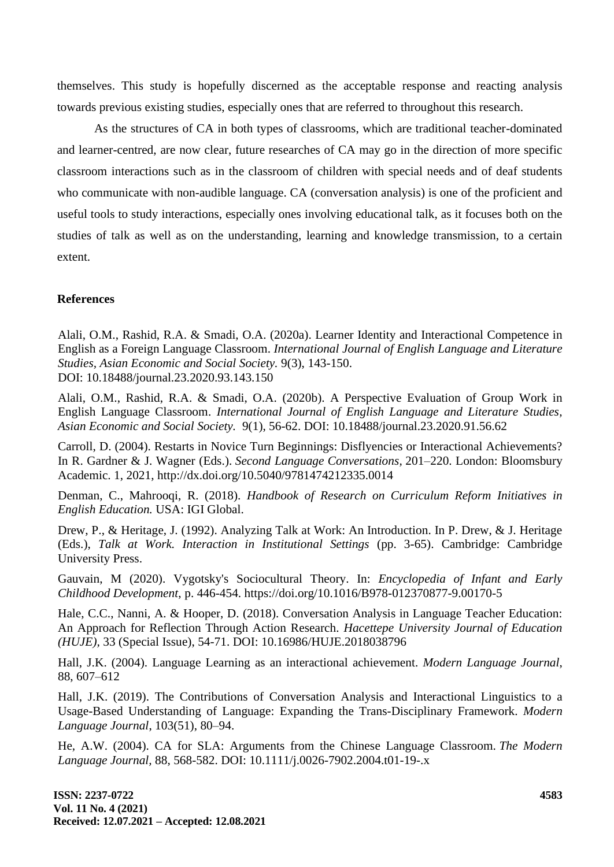themselves. This study is hopefully discerned as the acceptable response and reacting analysis towards previous existing studies, especially ones that are referred to throughout this research.

As the structures of CA in both types of classrooms, which are traditional teacher-dominated and learner-centred, are now clear, future researches of CA may go in the direction of more specific classroom interactions such as in the classroom of children with special needs and of deaf students who communicate with non-audible language. CA (conversation analysis) is one of the proficient and useful tools to study interactions, especially ones involving educational talk, as it focuses both on the studies of talk as well as on the understanding, learning and knowledge transmission, to a certain extent.

### **References**

Alali, O.M., Rashid, R.A. & Smadi, O.A. (2020a). Learner Identity and Interactional Competence in English as a Foreign Language Classroom. *International Journal of English Language and Literature Studies, Asian Economic and Social Society.* 9(3), 143-150. DOI: 10.18488/journal.23.2020.93.143.150

Alali, O.M., Rashid, R.A. & Smadi, O.A. (2020b). A Perspective Evaluation of Group Work in English Language Classroom. *International Journal of English Language and Literature Studies, Asian Economic and Social Society.* 9(1), 56-62. DOI: 10.18488/journal.23.2020.91.56.62

Carroll, D. (2004). Restarts in Novice Turn Beginnings: Disflyencies or Interactional Achievements? In R. Gardner & J. Wagner (Eds.). *Second Language Conversations,* 201–220. London: Bloomsbury Academic. 1, 2021, http://dx.doi.org/10.5040/9781474212335.0014

Denman, C., Mahrooqi, R. (2018). *Handbook of Research on Curriculum Reform Initiatives in English Education.* USA: IGI Global.

Drew, P., & Heritage, J. (1992). Analyzing Talk at Work: An Introduction. In P. Drew, & J. Heritage (Eds.), *Talk at Work. Interaction in Institutional Settings* (pp. 3-65). Cambridge: Cambridge University Press.

Gauvain, M (2020). Vygotsky's Sociocultural Theory. In: *Encyclopedia of Infant and Early Childhood Development*, p. 446-454. https://doi.org/10.1016/B978-012370877-9.00170-5

Hale, C.C., Nanni, A. & Hooper, D. (2018). Conversation Analysis in Language Teacher Education: An Approach for Reflection Through Action Research. *Hacettepe University Journal of Education (HUJE),* 33 (Special Issue), 54-71. DOI: 10.16986/HUJE.2018038796

Hall, J.K. (2004). Language Learning as an interactional achievement. *Modern Language Journal*, 88, 607–612

Hall, J.K. (2019). The Contributions of Conversation Analysis and Interactional Linguistics to a Usage-Based Understanding of Language: Expanding the Trans-Disciplinary Framework. *Modern Language Journal*, 103(51), 80–94.

He, A.W. (2004). CA for SLA: Arguments from the Chinese Language Classroom. *The Modern Language Journal,* 88, 568-582. DOI: 10.1111/j.0026-7902.2004.t01-19-.x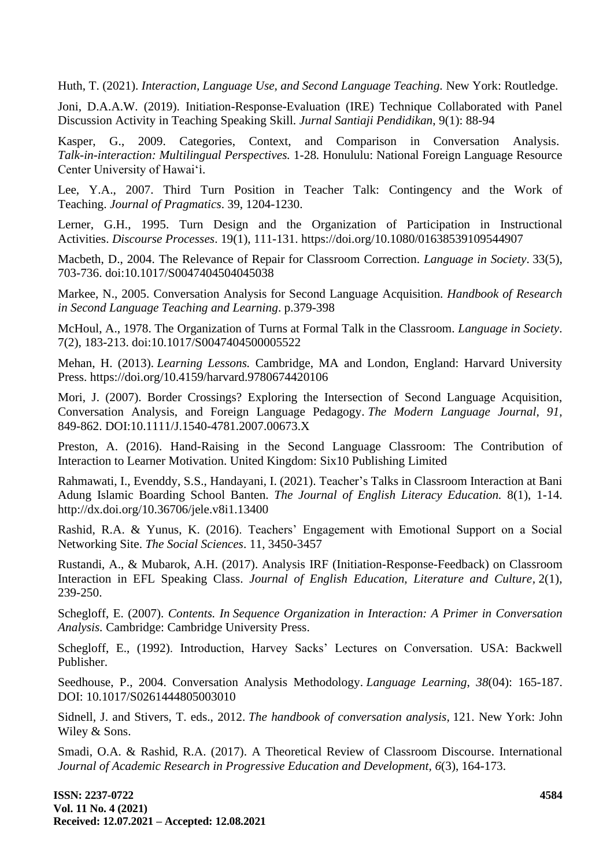Huth, T. (2021). *Interaction, Language Use, and Second Language Teaching.* New York: Routledge.

Joni, D.A.A.W. (2019). Initiation-Response-Evaluation (IRE) Technique Collaborated with Panel Discussion Activity in Teaching Speaking Skill. *Jurnal Santiaji Pendidikan*, 9(1): 88-94

Kasper, G., 2009. Categories, Context, and Comparison in Conversation Analysis. *Talk-in-interaction: Multilingual Perspectives.* 1-28*.* Honululu: National Foreign Language Resource Center University of Hawai'i.

Lee, Y.A., 2007. Third Turn Position in Teacher Talk: Contingency and the Work of Teaching. *Journal of Pragmatics*. 39, 1204-1230.

Lerner, G.H., 1995. Turn Design and the Organization of Participation in Instructional Activities. *Discourse Processes*. 19(1), 111-131. https://doi.org/10.1080/01638539109544907

Macbeth, D., 2004. The Relevance of Repair for Classroom Correction. *Language in Society*. 33(5), 703-736. doi:10.1017/S0047404504045038

Markee, N., 2005. Conversation Analysis for Second Language Acquisition. *Handbook of Research in Second Language Teaching and Learning*. p.379-398

McHoul, A., 1978. The Organization of Turns at Formal Talk in the Classroom. *Language in Society*. 7(2), 183-213. doi:10.1017/S0047404500005522

Mehan, H. (2013). *Learning Lessons.* Cambridge, MA and London, England: Harvard University Press. https://doi.org/10.4159/harvard.9780674420106

Mori, J. (2007). Border Crossings? Exploring the Intersection of Second Language Acquisition, Conversation Analysis, and Foreign Language Pedagogy. *The Modern Language Journal, 91,* 849-862. DOI:10.1111/J.1540-4781.2007.00673.X

Preston, A. (2016). Hand-Raising in the Second Language Classroom: The Contribution of Interaction to Learner Motivation. United Kingdom: Six10 Publishing Limited

Rahmawati, I., Evenddy, S.S., Handayani, I. (2021). Teacher's Talks in Classroom Interaction at Bani Adung Islamic Boarding School Banten. *The Journal of English Literacy Education.* 8(1), 1-14. http://dx.doi.org/10.36706/jele.v8i1.13400

Rashid, R.A. & Yunus, K. (2016). Teachers' Engagement with Emotional Support on a Social Networking Site. *The Social Sciences*. 11, 3450-3457

Rustandi, A., & Mubarok, A.H. (2017). Analysis IRF (Initiation-Response-Feedback) on Classroom Interaction in EFL Speaking Class. *Journal of English Education, Literature and Culture,* 2(1), 239-250.

Schegloff, E. (2007). *Contents. In Sequence Organization in Interaction: A Primer in Conversation Analysis.* Cambridge: Cambridge University Press.

Schegloff, E., (1992). Introduction, Harvey Sacks' Lectures on Conversation. USA: Backwell Publisher.

Seedhouse, P., 2004. Conversation Analysis Methodology. *Language Learning*, *38*(04): 165-187. DOI: 10.1017/S0261444805003010

Sidnell, J. and Stivers, T. eds., 2012. *The handbook of conversation analysis,* 121. New York: John Wiley & Sons.

Smadi, O.A. & Rashid, R.A. (2017). A Theoretical Review of Classroom Discourse. International *Journal of Academic Research in Progressive Education and Development, 6*(3), 164-173.